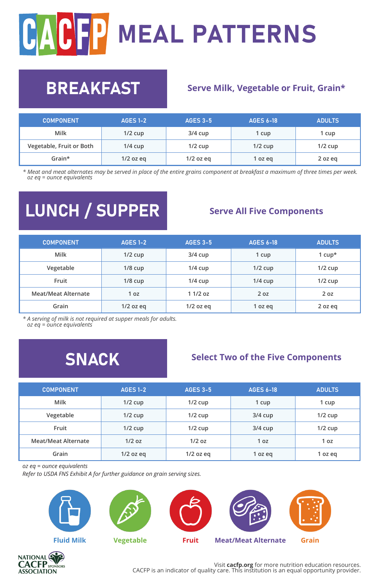# CACT MEAL PATTERNS

### **BREAKFAST** Serve Milk, Vegetable or Fruit, Grain\*

| <b>COMPONENT</b>         | <b>AGES 1-2</b> | <b>AGES 3-5</b> | <b>AGES 6-18</b> | <b>ADULTS</b> |
|--------------------------|-----------------|-----------------|------------------|---------------|
| Milk                     | $1/2$ cup       | $3/4$ cup       | 1 cup            | 1 cup         |
| Vegetable, Fruit or Both | $1/4$ cup       | $1/2$ cup       | $1/2$ cup        | $1/2$ cup     |
| Grain*                   | $1/2$ oz eq     | $1/2$ oz eq     | 1 oz eg          | 2 oz eq       |

*\* Meat and meat alternates may be served in place of the entire grains component at breakfast a maximum of three times per week. oz eq = ounce equivalents*

## **LUNCH / SUPPER** Serve All Five Components

| <b>COMPONENT</b>           | <b>AGES 1-2</b> | <b>AGES 3-5</b> | <b>AGES 6-18</b> | ADULTS.   |
|----------------------------|-----------------|-----------------|------------------|-----------|
| Milk                       | $1/2$ cup       | $3/4$ cup       | 1 cup            | 1 $cup^*$ |
| Vegetable                  | $1/8$ cup       | $1/4$ cup       | $1/2$ cup        | $1/2$ cup |
| Fruit                      | $1/8$ cup       | $1/4$ cup       | $1/4$ cup        | $1/2$ cup |
| <b>Meat/Meat Alternate</b> | 1 <sub>0z</sub> | $11/2$ oz       | 2 <sub>0z</sub>  | 20z       |
| Grain                      | $1/2$ oz eq     | $1/2$ oz eq     | 1 oz eg          | 2 oz eg   |

*\* A serving of milk is not required at supper meals for adults. oz eq = ounce equivalents*

### **SNACK** Select Two of the Five Components

| <b>COMPONENT</b>           | <b>AGES 1-2</b> | <b>AGES 3-5</b> | <b>AGES 6-18</b> | <b>ADULTS</b> |
|----------------------------|-----------------|-----------------|------------------|---------------|
| Milk                       | $1/2$ cup       | $1/2$ cup       | 1 cup            | 1 cup         |
| Vegetable                  | $1/2$ cup       | $1/2$ cup       | $3/4$ cup        | $1/2$ cup     |
| Fruit                      | $1/2$ cup       | $1/2$ cup       | $3/4$ cup        | $1/2$ cup     |
| <b>Meat/Meat Alternate</b> | $1/2$ oz        | $1/2$ oz        | 1 <sub>0z</sub>  | 1 oz          |
| Grain                      | $1/2$ oz eq     | $1/2$ oz eq     | 1 oz eg          | 1 oz eg       |

*oz eq = ounce equivalents*

*Refer to USDA FNS Exhibit A for further guidance on grain serving sizes.*







Visit **cacfp.org** for more nutrition education resources. CACFP is an indicator of quality care. This institution is an equal opportunity provider.